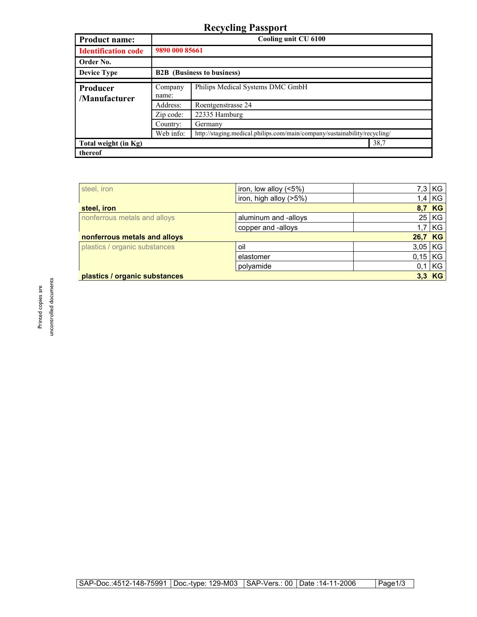## **Recycling Passport**

| <b>Product name:</b>       | Cooling unit CU 6100              |                                                                           |  |
|----------------------------|-----------------------------------|---------------------------------------------------------------------------|--|
| <b>Identification code</b> | 9890 000 85661                    |                                                                           |  |
| Order No.                  |                                   |                                                                           |  |
| <b>Device Type</b>         | <b>B2B</b> (Business to business) |                                                                           |  |
| Producer                   | Company                           | Philips Medical Systems DMC GmbH                                          |  |
| /Manufacturer              | name:                             |                                                                           |  |
|                            | Address:                          | Roentgenstrasse 24                                                        |  |
|                            | Zip code:                         | 22335 Hamburg                                                             |  |
|                            | Country:                          | Germany                                                                   |  |
|                            | Web info:                         | http://staging.medical.philips.com/main/company/sustainability/recycling/ |  |
| Total weight (in Kg)       |                                   | 38,7                                                                      |  |
| thereof                    |                                   |                                                                           |  |

| steel, iron                               | iron, low alloy $(5\%)$ |           | $7,3$ KG          |  |
|-------------------------------------------|-------------------------|-----------|-------------------|--|
|                                           | iron, high alloy (>5%)  | 1,4       | KG                |  |
| steel, iron                               |                         |           | 8,7 KG            |  |
| nonferrous metals and alloys              | aluminum and -alloys    |           | $25$ KG           |  |
|                                           | copper and -alloys      | 1,7       | l KG              |  |
| nonferrous metals and alloys              |                         |           | <b>KG</b><br>26,7 |  |
| plastics / organic substances             | oil                     | $3,05$ KG |                   |  |
|                                           | elastomer               | $0,15$ KG |                   |  |
|                                           | polyamide               | 0,1       | KG                |  |
| $3,3$ KG<br>plastics / organic substances |                         |           |                   |  |

uncontrolled documents uncontrolled documents Printed copies are Printed copies are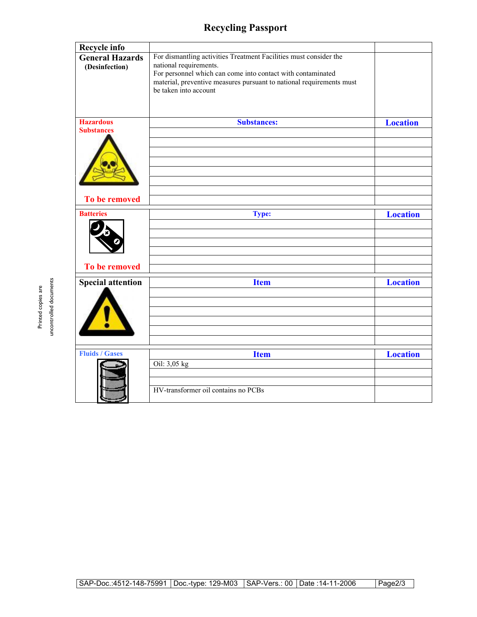## **Recycling Passport**

| <b>Recycle info</b>                      |                                                                                                                                                                                                                                                             |                 |
|------------------------------------------|-------------------------------------------------------------------------------------------------------------------------------------------------------------------------------------------------------------------------------------------------------------|-----------------|
| <b>General Hazards</b><br>(Desinfection) | For dismantling activities Treatment Facilities must consider the<br>national requirements.<br>For personnel which can come into contact with contaminated<br>material, preventive measures pursuant to national requirements must<br>be taken into account |                 |
| <b>Hazardous</b>                         | <b>Substances:</b>                                                                                                                                                                                                                                          | <b>Location</b> |
| <b>Substances</b>                        |                                                                                                                                                                                                                                                             |                 |
| To be removed                            |                                                                                                                                                                                                                                                             |                 |
| <b>Batteries</b>                         | <b>Type:</b>                                                                                                                                                                                                                                                | <b>Location</b> |
|                                          |                                                                                                                                                                                                                                                             |                 |
|                                          |                                                                                                                                                                                                                                                             |                 |
|                                          |                                                                                                                                                                                                                                                             |                 |
| To be removed                            |                                                                                                                                                                                                                                                             |                 |
|                                          |                                                                                                                                                                                                                                                             |                 |
| <b>Special attention</b>                 | <b>Item</b>                                                                                                                                                                                                                                                 | <b>Location</b> |
|                                          |                                                                                                                                                                                                                                                             |                 |
|                                          |                                                                                                                                                                                                                                                             |                 |
|                                          |                                                                                                                                                                                                                                                             |                 |
|                                          |                                                                                                                                                                                                                                                             |                 |
|                                          |                                                                                                                                                                                                                                                             |                 |
| <b>Fluids / Gases</b>                    | <b>Item</b>                                                                                                                                                                                                                                                 | <b>Location</b> |
|                                          | Oil: 3,05 kg                                                                                                                                                                                                                                                |                 |
|                                          |                                                                                                                                                                                                                                                             |                 |
|                                          | HV-transformer oil contains no PCBs                                                                                                                                                                                                                         |                 |

uncontrolled documents uncontrolled documents Printed copies are Printed copies are